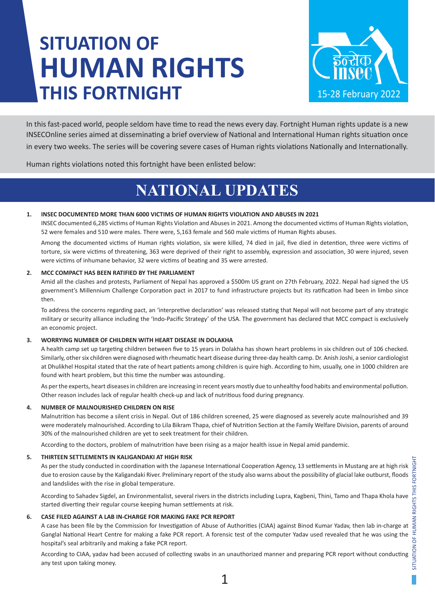# **SITUATION OF HUMAN RIGHTS THIS FORTNIGHT**



In this fast-paced world, people seldom have time to read the news every day. Fortnight Human rights update is a new INSECOnline series aimed at disseminating a brief overview of National and International Human rights situation once in every two weeks. The series will be covering severe cases of Human rights violations Nationally and Internationally.

Human rights violations noted this fortnight have been enlisted below:

## **NATIONAL UPDATES**

#### **1. INSEC DOCUMENTED MORE THAN 6000 VICTIMS OF HUMAN RIGHTS VIOLATION AND ABUSES IN 2021**

INSEC documented 6,285 victims of Human Rights Violation and Abuses in 2021. Among the documented victims of Human Rights violation, 52 were females and 510 were males. There were, 5,163 female and 560 male victims of Human Rights abuses.

Among the documented victims of Human rights violation, six were killed, 74 died in jail, five died in detention, three were victims of torture, six were victims of threatening, 363 were deprived of their right to assembly, expression and association, 30 were injured, seven were victims of inhumane behavior, 32 were victims of beating and 35 were arrested.

#### **2. MCC COMPACT HAS BEEN RATIFIED BY THE PARLIAMENT**

Amid all the clashes and protests, Parliament of Nepal has approved a \$500m US grant on 27th February, 2022. Nepal had signed the US government's Millennium Challenge Corporation pact in 2017 to fund infrastructure projects but its ratification had been in limbo since then.

To address the concerns regarding pact, an 'interpretive declaration' was released stating that Nepal will not become part of any strategic military or security alliance including the 'Indo-Pacific Strategy' of the USA. The government has declared that MCC compact is exclusively an economic project.

#### **3. WORRYING NUMBER OF CHILDREN WITH HEART DISEASE IN DOLAKHA**

A health camp set up targeting children between five to 15 years in Dolakha has shown heart problems in six children out of 106 checked. Similarly, other six children were diagnosed with rheumatic heart disease during three-day health camp. Dr. Anish Joshi, a senior cardiologist at Dhulikhel Hospital stated that the rate of heart patients among children is quire high. According to him, usually, one in 1000 children are found with heart problem, but this time the number was astounding.

As per the experts, heart diseases in children are increasing in recent years mostly due to unhealthy food habits and environmental pollution. Other reason includes lack of regular health check-up and lack of nutritious food during pregnancy.

#### **4. NUMBER OF MALNOURISHED CHILDREN ON RISE**

Malnutrition has become a silent crisis in Nepal. Out of 186 children screened, 25 were diagnosed as severely acute malnourished and 39 were moderately malnourished. According to Lila Bikram Thapa, chief of Nutrition Section at the Family Welfare Division, parents of around 30% of the malnourished children are yet to seek treatment for their children.

According to the doctors, problem of malnutrition have been rising as a major health issue in Nepal amid pandemic.

#### **5. THIRTEEN SETTLEMENTS IN KALIGANDAKI AT HIGH RISK**

As per the study conducted in coordination with the Japanese International Cooperation Agency, 13 settlements in Mustang are at high risk due to erosion cause by the Kaligandaki River. Preliminary report of the study also warns about the possibility of glacial lake outburst, floods and landslides with the rise in global temperature.

According to Sahadev Sigdel, an Environmentalist, several rivers in the districts including Lupra, Kagbeni, Thini, Tamo and Thapa Khola have started diverting their regular course keeping human settlements at risk.

#### **6. CASE FILED AGAINST A LAB IN-CHARGE FOR MAKING FAKE PCR REPORT**

A case has been file by the Commission for Investigation of Abuse of Authorities (CIAA) against Binod Kumar Yadav, then lab in-charge at Ganglal National Heart Centre for making a fake PCR report. A forensic test of the computer Yadav used revealed that he was using the hospital's seal arbitrarily and making a fake PCR report.

According to CIAA, yadav had been accused of collecting swabs in an unauthorized manner and preparing PCR report without conducting any test upon taking money.